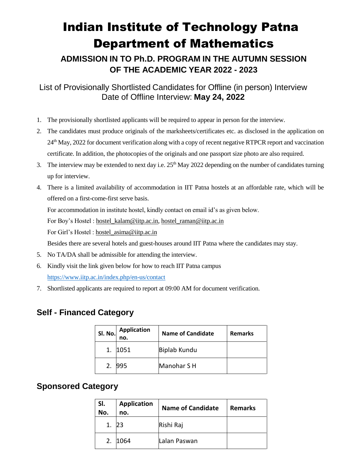## Indian Institute of Technology Patna Department of Mathematics

**ADMISSION IN TO Ph.D. PROGRAM IN THE AUTUMN SESSION OF THE ACADEMIC YEAR 2022 - 2023**

List of Provisionally Shortlisted Candidates for Offline (in person) Interview Date of Offline Interview: **May 24, 2022**

- 1. The provisionally shortlisted applicants will be required to appear in person for the interview.
- 2. The candidates must produce originals of the marksheets/certificates etc. as disclosed in the application on 24th May, 2022 for document verification along with a copy of recent negative RTPCR report and vaccination certificate. In addition, the photocopies of the originals and one passport size photo are also required.
- 3. The interview may be extended to next day i.e.  $25<sup>th</sup>$  May 2022 depending on the number of candidates turning up for interview.
- 4. There is a limited availability of accommodation in IIT Patna hostels at an affordable rate, which will be offered on a first-come-first serve basis.

For accommodation in institute hostel, kindly contact on email id's as given below.

For Boy's Hostel : [hostel\\_kalam@iitp.ac.in,](mailto:hostel_kalam@iitp.ac.in) [hostel\\_raman@iitp.ac.in](mailto:hostel_raman@iitp.ac.in)

For Girl's Hostel : hostel asima@iitp.ac.in

Besides there are several hotels and guest-houses around IIT Patna where the candidates may stay.

- 5. No TA/DA shall be admissible for attending the interview.
- 6. Kindly visit the link given below for how to reach IIT Patna campus <https://www.iitp.ac.in/index.php/en-us/contact>
- 7. Shortlisted applicants are required to report at 09:00 AM for document verification.

## **Self - Financed Category**

| Sl. No. | <b>Application</b><br>no. | <b>Name of Candidate</b> | <b>Remarks</b> |
|---------|---------------------------|--------------------------|----------------|
|         | 1051                      | <b>Biplab Kundu</b>      |                |
|         | 995                       | Manohar S H              |                |

## **Sponsored Category**

| SI.<br>No. | <b>Application</b><br>no. | <b>Name of Candidate</b> | <b>Remarks</b> |
|------------|---------------------------|--------------------------|----------------|
|            |                           | Rishi Raj                |                |
| 2.         | 1064                      | Lalan Paswan             |                |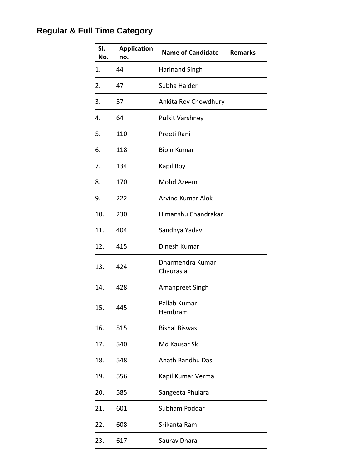## **Regular & Full Time Category**

| SI.<br>No. | <b>Application</b><br>no. | <b>Name of Candidate</b>      | <b>Remarks</b> |
|------------|---------------------------|-------------------------------|----------------|
| 1.         | 44                        | Harinand Singh                |                |
| 2.         | 47                        | Subha Halder                  |                |
| 3.         | 57                        | Ankita Roy Chowdhury          |                |
| 4.         | 64                        | Pulkit Varshney               |                |
| 5.         | 110                       | Preeti Rani                   |                |
| 6.         | 118                       | <b>Bipin Kumar</b>            |                |
| 7.         | 134                       | Kapil Roy                     |                |
| 8.         | 170                       | Mohd Azeem                    |                |
| 9.         | 222                       | Arvind Kumar Alok             |                |
| 10.        | 230                       | Himanshu Chandrakar           |                |
| 11.        | 404                       | Sandhya Yadav                 |                |
| 12.        | 415                       | Dinesh Kumar                  |                |
| 13.        | 424                       | Dharmendra Kumar<br>Chaurasia |                |
| 14.        | 428                       | Amanpreet Singh               |                |
| 15.        | 445                       | Pallab Kumar<br>Hembram       |                |
| 16.        | 515                       | <b>Bishal Biswas</b>          |                |
| 17.        | 540                       | Md Kausar Sk                  |                |
| 18.        | 548                       | <b>Anath Bandhu Das</b>       |                |
| 19.        | 556                       | Kapil Kumar Verma             |                |
| 20.        | 585                       | Sangeeta Phulara              |                |
| 21.        | 601                       | Subham Poddar                 |                |
| 22.        | 608                       | Srikanta Ram                  |                |
| 23.        | 617                       | Saurav Dhara                  |                |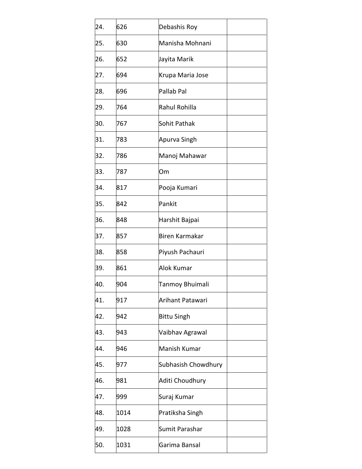| 24. | 626  | Debashis Roy        |  |
|-----|------|---------------------|--|
| 25. | 630  | Manisha Mohnani     |  |
| 26. | 652  | Jayita Marik        |  |
| 27. | 694  | Krupa Maria Jose    |  |
| 28. | 696  | Pallab Pal          |  |
| 29. | 764  | Rahul Rohilla       |  |
| 30. | 767  | Sohit Pathak        |  |
| 31. | 783  | Apurva Singh        |  |
| 32. | 786  | Manoj Mahawar       |  |
| 33. | 787  | Om                  |  |
| 34. | 817  | Pooja Kumari        |  |
| 35. | 842  | Pankit              |  |
| 36. | 848  | Harshit Bajpai      |  |
| 37. | 857  | Biren Karmakar      |  |
| 38. | 858  | Piyush Pachauri     |  |
| 39. | 861  | Alok Kumar          |  |
| 40. | 904  | Tanmoy Bhuimali     |  |
| 41. | 917  | Arihant Patawari    |  |
| 42. | 942  | <b>Bittu Singh</b>  |  |
| 43. | 943  | Vaibhav Agrawal     |  |
| 44. | 946  | Manish Kumar        |  |
| 45. | 977  | Subhasish Chowdhury |  |
| 46. | 981  | Aditi Choudhury     |  |
| 47. | 999  | Suraj Kumar         |  |
| 48. | 1014 | Pratiksha Singh     |  |
| 49. | 1028 | Sumit Parashar      |  |
| 50. | 1031 | Garima Bansal       |  |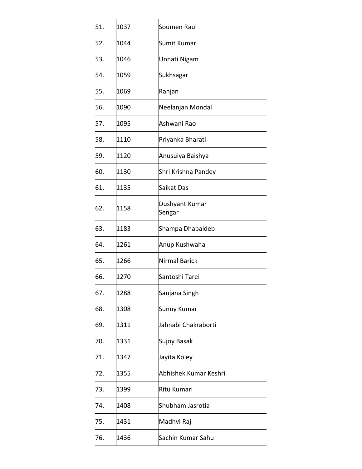| 51. | 1037 | Soumen Raul              |  |
|-----|------|--------------------------|--|
| 52. | 1044 | Sumit Kumar              |  |
| 53. | 1046 | Unnati Nigam             |  |
| 54. | 1059 | Sukhsagar                |  |
| 55. | 1069 | Ranjan                   |  |
| 56. | 1090 | Neelanjan Mondal         |  |
| 57. | 1095 | Ashwani Rao              |  |
| 58. | 1110 | Priyanka Bharati         |  |
| 59. | 1120 | Anusuiya Baishya         |  |
| 60. | 1130 | Shri Krishna Pandey      |  |
| 61. | 1135 | Saikat Das               |  |
| 62. | 1158 | Dushyant Kumar<br>Sengar |  |
| 63. | 1183 | Shampa Dhabaldeb         |  |
| 64. | 1261 | Anup Kushwaha            |  |
| 65. | 1266 | Nirmal Barick            |  |
| 66. | 1270 | Santoshi Tarei           |  |
| 67. | 1288 | Sanjana Singh            |  |
| 68. | 1308 | <b>Sunny Kumar</b>       |  |
| 69. | 1311 | Jahnabi Chakraborti      |  |
| 70. | 1331 | Sujoy Basak              |  |
| 71. | 1347 | Jayita Koley             |  |
| 72. | 1355 | Abhishek Kumar Keshri    |  |
| 73. | 1399 | Ritu Kumari              |  |
| 74. | 1408 | Shubham Jasrotia         |  |
| 75. | 1431 | Madhvi Raj               |  |
| 76. | 1436 | Sachin Kumar Sahu        |  |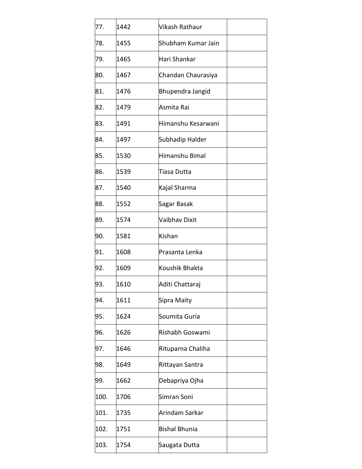| 77.  | 1442 | Vikash Rathaur       |  |
|------|------|----------------------|--|
| 78.  | 1455 | Shubham Kumar Jain   |  |
| 79.  | 1465 | Hari Shankar         |  |
| 80.  | 1467 | Chandan Chaurasiya   |  |
| 81.  | 1476 | Bhupendra Jangid     |  |
| 82.  | 1479 | Asmita Rai           |  |
| 83.  | 1491 | Himanshu Kesarwani   |  |
| 84.  | 1497 | Subhadip Halder      |  |
| 85.  | 1530 | Himanshu Bimal       |  |
| 86.  | 1539 | Tiasa Dutta          |  |
| 87.  | 1540 | Kajal Sharma         |  |
| 88.  | 1552 | Sagar Basak          |  |
| 89.  | 1574 | Vaibhav Dixit        |  |
| 90.  | 1581 | Kishan               |  |
| 91.  | 1608 | Prasanta Lenka       |  |
| 92.  | 1609 | Koushik Bhakta       |  |
| 93.  | 1610 | Aditi Chattaraj      |  |
| 94.  | 1611 | Sipra Maity          |  |
| 95.  | 1624 | Soumita Guria        |  |
| 96.  | 1626 | Rishabh Goswami      |  |
| 97.  | 1646 | Rituparna Chaliha    |  |
| 98.  | 1649 | Rittayan Santra      |  |
| 99.  | 1662 | Debapriya Ojha       |  |
| 100. | 1706 | Simran Soni          |  |
| 101. | 1735 | Arindam Sarkar       |  |
| 102. | 1751 | <b>Bishal Bhunia</b> |  |
| 103. | 1754 | Saugata Dutta        |  |